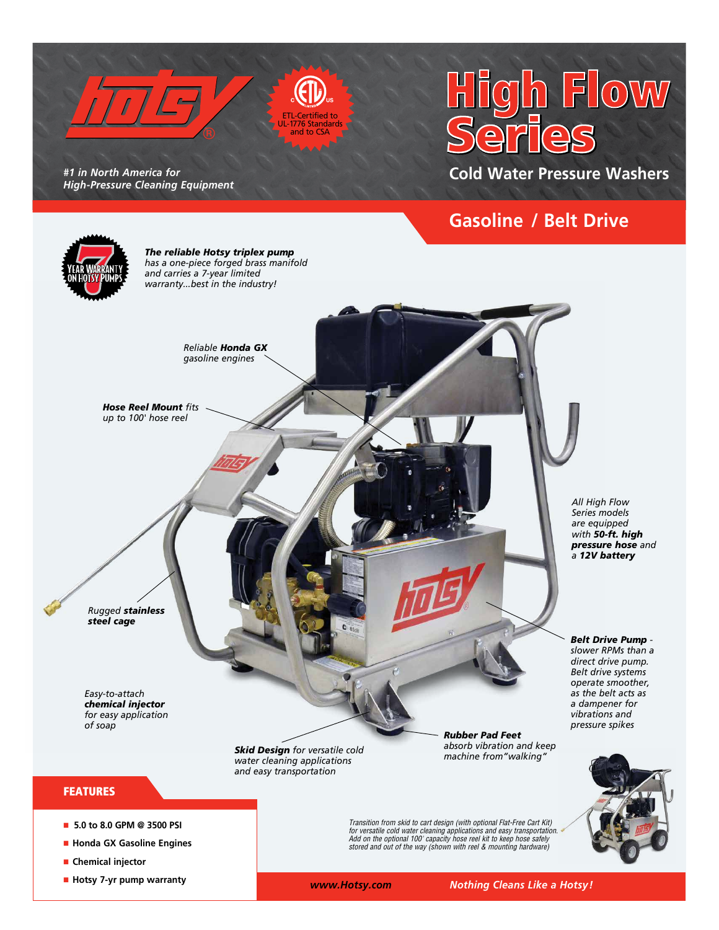

*#1 in North America for High-Pressure Cleaning Equipment* 

■ Hotsy 7-yr pump warranty

# $h$  Flow

**Cold Water Pressure Washers**

## **Gasoline / Belt Drive**



ETL-Certified to UL-1776 Standards and to CSA